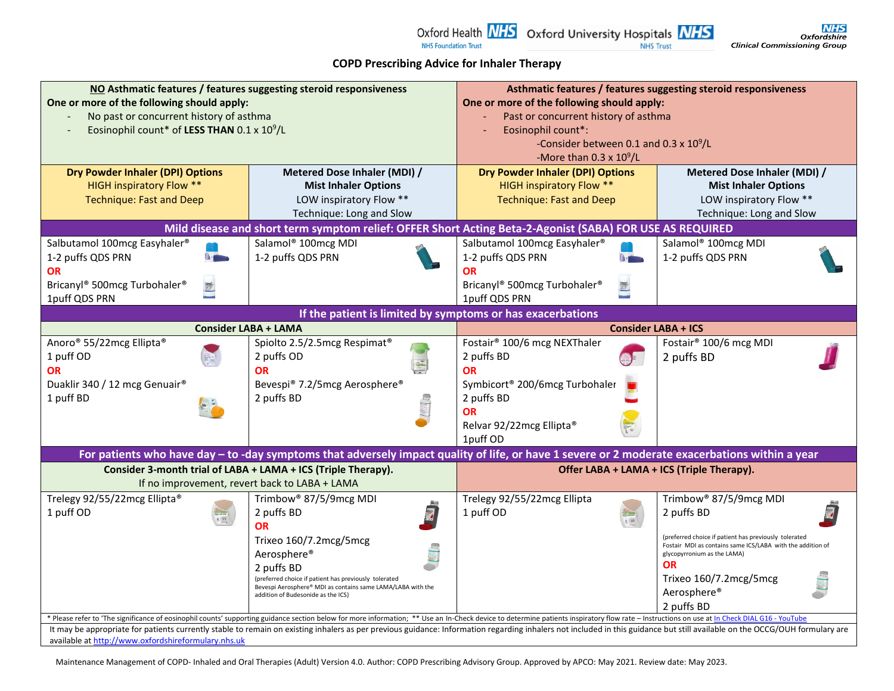#### **COPD Prescribing Advice for Inhaler Therapy**

Oxford Health  $NIS$  Oxford University Hospitals  $NIS$ 

| NO Asthmatic features / features suggesting steroid responsiveness                                                                                                                                                          |                                                                                                                                                                                                                                | Asthmatic features / features suggesting steroid responsiveness |                                                            |  |  |
|-----------------------------------------------------------------------------------------------------------------------------------------------------------------------------------------------------------------------------|--------------------------------------------------------------------------------------------------------------------------------------------------------------------------------------------------------------------------------|-----------------------------------------------------------------|------------------------------------------------------------|--|--|
| One or more of the following should apply:                                                                                                                                                                                  |                                                                                                                                                                                                                                | One or more of the following should apply:                      |                                                            |  |  |
| No past or concurrent history of asthma<br>Eosinophil count* of LESS THAN 0.1 x 10 <sup>9</sup> /L                                                                                                                          |                                                                                                                                                                                                                                | Past or concurrent history of asthma<br>Eosinophil count*:      |                                                            |  |  |
|                                                                                                                                                                                                                             |                                                                                                                                                                                                                                | -Consider between 0.1 and 0.3 x 10 <sup>9</sup> /L              |                                                            |  |  |
|                                                                                                                                                                                                                             |                                                                                                                                                                                                                                | -More than $0.3 \times 10^9$ /L                                 |                                                            |  |  |
| <b>Dry Powder Inhaler (DPI) Options</b>                                                                                                                                                                                     | Metered Dose Inhaler (MDI) /                                                                                                                                                                                                   | <b>Dry Powder Inhaler (DPI) Options</b>                         | Metered Dose Inhaler (MDI) /                               |  |  |
| <b>HIGH inspiratory Flow **</b>                                                                                                                                                                                             | <b>Mist Inhaler Options</b>                                                                                                                                                                                                    | <b>HIGH inspiratory Flow **</b>                                 | <b>Mist Inhaler Options</b>                                |  |  |
| <b>Technique: Fast and Deep</b>                                                                                                                                                                                             | LOW inspiratory Flow **                                                                                                                                                                                                        | <b>Technique: Fast and Deep</b>                                 | LOW inspiratory Flow **                                    |  |  |
|                                                                                                                                                                                                                             | Technique: Long and Slow                                                                                                                                                                                                       |                                                                 | Technique: Long and Slow                                   |  |  |
|                                                                                                                                                                                                                             | Mild disease and short term symptom relief: OFFER Short Acting Beta-2-Agonist (SABA) FOR USE AS REQUIRED                                                                                                                       |                                                                 |                                                            |  |  |
| Salbutamol 100mcg Easyhaler®                                                                                                                                                                                                | Salamol <sup>®</sup> 100mcg MDI                                                                                                                                                                                                | Salbutamol 100mcg Easyhaler®                                    | Salamol <sup>®</sup> 100mcg MDI                            |  |  |
| 1-2 puffs QDS PRN<br>$\mathbf{a}$                                                                                                                                                                                           | 1-2 puffs QDS PRN                                                                                                                                                                                                              | 1-2 puffs QDS PRN<br>$0 -$                                      | 1-2 puffs QDS PRN                                          |  |  |
| <b>OR</b>                                                                                                                                                                                                                   |                                                                                                                                                                                                                                | <b>OR</b>                                                       |                                                            |  |  |
| Bricanyl® 500mcg Turbohaler®                                                                                                                                                                                                |                                                                                                                                                                                                                                | Bricanyl® 500mcg Turbohaler®<br>屋                               |                                                            |  |  |
| 1puff QDS PRN                                                                                                                                                                                                               |                                                                                                                                                                                                                                | 1puff QDS PRN                                                   |                                                            |  |  |
| If the patient is limited by symptoms or has exacerbations                                                                                                                                                                  |                                                                                                                                                                                                                                |                                                                 |                                                            |  |  |
|                                                                                                                                                                                                                             | <b>Consider LABA + LAMA</b>                                                                                                                                                                                                    |                                                                 | <b>Consider LABA + ICS</b>                                 |  |  |
| Anoro <sup>®</sup> 55/22mcg Ellipta <sup>®</sup>                                                                                                                                                                            | Spiolto 2.5/2.5mcg Respimat <sup>®</sup>                                                                                                                                                                                       | Fostair <sup>®</sup> 100/6 mcg NEXThaler                        | Fostair <sup>®</sup> 100/6 mcg MDI                         |  |  |
| 1 puff OD                                                                                                                                                                                                                   | 2 puffs OD                                                                                                                                                                                                                     | 2 puffs BD                                                      | 2 puffs BD                                                 |  |  |
| <b>OR</b>                                                                                                                                                                                                                   | <b>OR</b>                                                                                                                                                                                                                      | <b>OR</b>                                                       |                                                            |  |  |
| Duaklir 340 / 12 mcg Genuair®                                                                                                                                                                                               | Bevespi® 7.2/5mcg Aerosphere®                                                                                                                                                                                                  | Symbicort <sup>®</sup> 200/6mcg Turbohaler                      |                                                            |  |  |
| 1 puff BD                                                                                                                                                                                                                   | 2 puffs BD                                                                                                                                                                                                                     | 2 puffs BD                                                      |                                                            |  |  |
|                                                                                                                                                                                                                             |                                                                                                                                                                                                                                | <b>OR</b>                                                       |                                                            |  |  |
|                                                                                                                                                                                                                             |                                                                                                                                                                                                                                | Relvar 92/22mcg Ellipta®                                        |                                                            |  |  |
|                                                                                                                                                                                                                             |                                                                                                                                                                                                                                | 1puff OD                                                        |                                                            |  |  |
|                                                                                                                                                                                                                             | For patients who have day - to -day symptoms that adversely impact quality of life, or have 1 severe or 2 moderate exacerbations within a year                                                                                 |                                                                 |                                                            |  |  |
|                                                                                                                                                                                                                             | Consider 3-month trial of LABA + LAMA + ICS (Triple Therapy).                                                                                                                                                                  | Offer LABA + LAMA + ICS (Triple Therapy).                       |                                                            |  |  |
|                                                                                                                                                                                                                             | If no improvement, revert back to LABA + LAMA                                                                                                                                                                                  |                                                                 |                                                            |  |  |
| Trelegy 92/55/22mcg Ellipta®                                                                                                                                                                                                | Trimbow <sup>®</sup> 87/5/9mcg MDI                                                                                                                                                                                             | Trelegy 92/55/22mcg Ellipta                                     | Trimbow <sup>®</sup> 87/5/9mcg MDI                         |  |  |
| 1 puff OD                                                                                                                                                                                                                   | 2 puffs BD                                                                                                                                                                                                                     | 1 puff OD                                                       | 2 puffs BD                                                 |  |  |
|                                                                                                                                                                                                                             | <b>OR</b>                                                                                                                                                                                                                      |                                                                 | (preferred choice if patient has previously tolerated      |  |  |
|                                                                                                                                                                                                                             | Trixeo 160/7.2mcg/5mcg                                                                                                                                                                                                         |                                                                 | Fostair MDI as contains same ICS/LABA with the addition of |  |  |
|                                                                                                                                                                                                                             | Aerosphere <sup>®</sup>                                                                                                                                                                                                        |                                                                 | glycopyrronium as the LAMA)<br><b>OR</b>                   |  |  |
|                                                                                                                                                                                                                             | 2 puffs BD<br>(preferred choice if patient has previously tolerated                                                                                                                                                            |                                                                 | Trixeo 160/7.2mcg/5mcg                                     |  |  |
|                                                                                                                                                                                                                             | Bevespi Aerosphere® MDI as contains same LAMA/LABA with the<br>addition of Budesonide as the ICS)                                                                                                                              |                                                                 | Aerosphere®                                                |  |  |
|                                                                                                                                                                                                                             |                                                                                                                                                                                                                                |                                                                 | 2 puffs BD                                                 |  |  |
|                                                                                                                                                                                                                             | * Please refer to 'The significance of eosinophil counts' supporting guidance section below for more information; ** Use an In-Check device to determine patients inspiratory flow rate - Instructions on use at In Check DIAL |                                                                 |                                                            |  |  |
| It may be appropriate for patients currently stable to remain on existing inhalers as per previous guidance: Information regarding inhalers not included in this guidance but still available on the OCCG/OUH formulary are |                                                                                                                                                                                                                                |                                                                 |                                                            |  |  |
| available at http://www.oxfordshireformulary.nhs.uk                                                                                                                                                                         |                                                                                                                                                                                                                                |                                                                 |                                                            |  |  |

Maintenance Management of COPD- Inhaled and Oral Therapies (Adult) Version 4.0. Author: COPD Prescribing Advisory Group. Approved by APCO: May 2021. Review date: May 2023.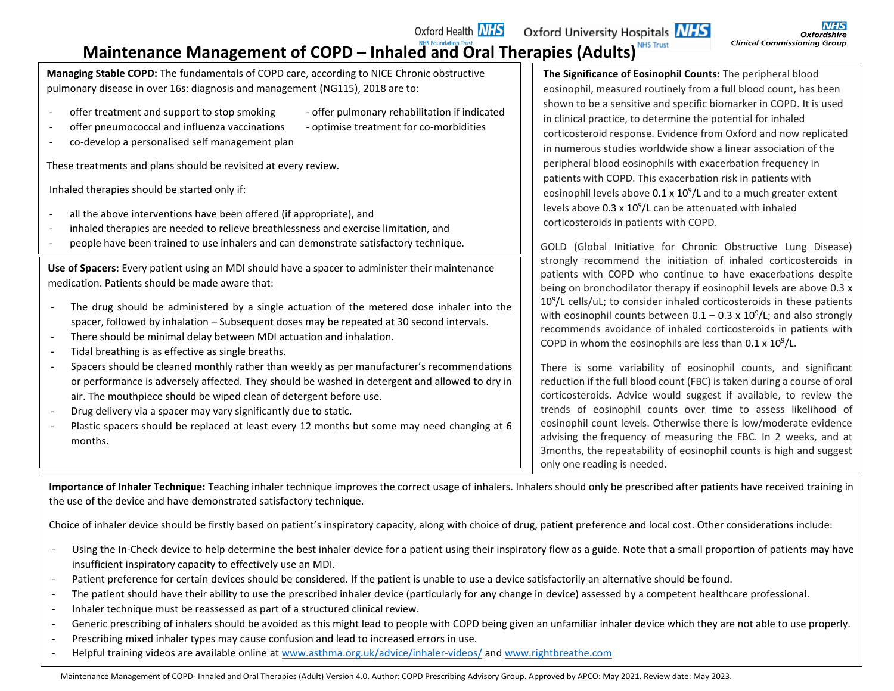# **Maintenance Management of COPD – Inhaled and Oral Therapies (Adults)**

**Managing Stable COPD:** The fundamentals of COPD care, according to NICE Chronic obstructive pulmonary disease in over 16s: diagnosis and management (NG115), 2018 are to:

- offer treatment and support to stop smoking offer pulmonary rehabilitation if indicated
- offer pneumococcal and influenza vaccinations optimise treatment for co-morbidities

Oxford Health **NHS** 

- 
- co-develop a personalised self management plan

These treatments and plans should be revisited at every review.

Inhaled therapies should be started only if:

- all the above interventions have been offered (if appropriate), and
- inhaled therapies are needed to relieve breathlessness and exercise limitation, and
- 

| people have been trained to use inhalers and can demonstrate satisfactory technique.            |                                                                                            | GOLD (Global Init        |
|-------------------------------------------------------------------------------------------------|--------------------------------------------------------------------------------------------|--------------------------|
|                                                                                                 |                                                                                            | strongly recomme         |
| Use of Spacers: Every patient using an MDI should have a spacer to administer their maintenance |                                                                                            | patients with COP        |
| medication. Patients should be made aware that:                                                 |                                                                                            | being on bronchod        |
|                                                                                                 | The drug should be administered by a single actuation of the metered dose inhaler into the | $10^9$ /L cells/uL; to c |

- The drug should be administered by a single actuation of the metered dose inhaler into the spacer, followed by inhalation – Subsequent doses may be repeated at 30 second intervals.
- There should be minimal delay between MDI actuation and inhalation.
- Tidal breathing is as effective as single breaths.
- Spacers should be cleaned monthly rather than weekly as per manufacturer's recommendations or performance is adversely affected. They should be washed in detergent and allowed to dry in air. The mouthpiece should be wiped clean of detergent before use.
- Drug delivery via a spacer may vary significantly due to static.
- Plastic spacers should be replaced at least every 12 months but some may need changing at 6 months.

**The Significance of Eosinophil Counts:** The peripheral blood eosinophil, measured routinely from a full blood count, has been shown to be a sensitive and specific biomarker in COPD. It is used in clinical practice, to determine the potential for inhaled corticosteroid response. Evidence from Oxford and now replicated in numerous studies worldwide show a linear association of the peripheral blood eosinophils with exacerbation frequency in patients with COPD. This exacerbation risk in patients with eosinophil levels above  $0.1 \times 10^9$ /L and to a much greater extent levels above  $0.3 \times 10^9$ /L can be attenuated with inhaled corticosteroids in patients with COPD.

tiative for Chronic Obstructive Lung Disease) nd the initiation of inhaled corticosteroids in D who continue to have exacerbations despite ilator therapy if eosinophil levels are above  $0.3 x$ onsider inhaled corticosteroids in these patients with eosinophil counts between  $0.1 - 0.3 \times 10^9$ /L; and also strongly recommends avoidance of inhaled corticosteroids in patients with COPD in whom the eosinophils are less than  $0.1 \times 10^9 / L$ .

There is some variability of eosinophil counts, and significant reduction if the full blood count (FBC) is taken during a course of oral corticosteroids. Advice would suggest if available, to review the trends of eosinophil counts over time to assess likelihood of eosinophil count levels. Otherwise there is low/moderate evidence advising the frequency of measuring the FBC. In 2 weeks, and at 3months, the repeatability of eosinophil counts is high and suggest only one reading is needed.

**Importance of Inhaler Technique:** Teaching inhaler technique improves the correct usage of inhalers. Inhalers should only be prescribed after patients have received training in the use of the device and have demonstrated satisfactory technique.

Choice of inhaler device should be firstly based on patient's inspiratory capacity, along with choice of drug, patient preference and local cost. Other considerations include:

- Using the In-Check device to help determine the best inhaler device for a patient using their inspiratory flow as a guide. Note that a small proportion of patients may have insufficient inspiratory capacity to effectively use an MDI.
- Patient preference for certain devices should be considered. If the patient is unable to use a device satisfactorily an alternative should be found.
- The patient should have their ability to use the prescribed inhaler device (particularly for any change in device) assessed by a competent healthcare professional.
- Inhaler technique must be reassessed as part of a structured clinical review.
- Generic prescribing of inhalers should be avoided as this might lead to people with COPD being given an unfamiliar inhaler device which they are not able to use properly.
- Prescribing mixed inhaler types may cause confusion and lead to increased errors in use.
- Helpful training videos are available online a[t www.asthma.org.uk/advice/inhaler-videos/](http://www.asthma.org.uk/advice/inhaler-videos/) and [www.rightbreathe.com](http://www.rightbreathe.com/)

Maintenance Management of COPD- Inhaled and Oral Therapies (Adult) Version 4.0. Author: COPD Prescribing Advisory Group. Approved by APCO: May 2021. Review date: May 2023.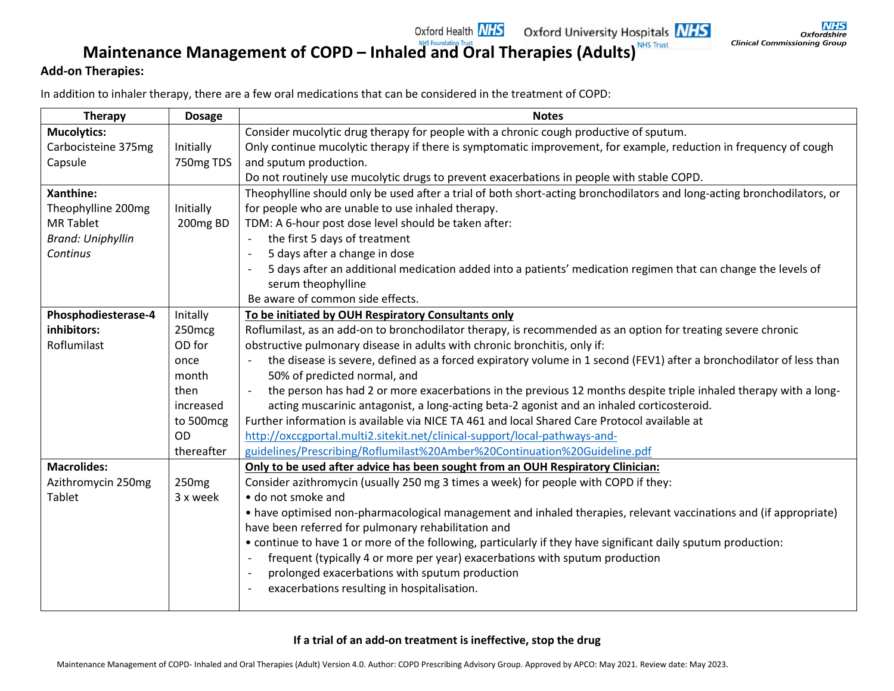# **Maintenance Management of COPD – Inhaled and Oral Therapies (Adults)**

#### **Add-on Therapies:**

In addition to inhaler therapy, there are a few oral medications that can be considered in the treatment of COPD:

| <b>Therapy</b>                                                                                        | <b>Dosage</b>     | <b>Notes</b>                                                                                                                                    |  |
|-------------------------------------------------------------------------------------------------------|-------------------|-------------------------------------------------------------------------------------------------------------------------------------------------|--|
| <b>Mucolytics:</b>                                                                                    |                   | Consider mucolytic drug therapy for people with a chronic cough productive of sputum.                                                           |  |
| Carbocisteine 375mg                                                                                   | Initially         | Only continue mucolytic therapy if there is symptomatic improvement, for example, reduction in frequency of cough                               |  |
| Capsule                                                                                               | 750mg TDS         | and sputum production.                                                                                                                          |  |
|                                                                                                       |                   | Do not routinely use mucolytic drugs to prevent exacerbations in people with stable COPD.                                                       |  |
| Xanthine:                                                                                             |                   | Theophylline should only be used after a trial of both short-acting bronchodilators and long-acting bronchodilators, or                         |  |
| Theophylline 200mg                                                                                    | Initially         | for people who are unable to use inhaled therapy.                                                                                               |  |
| <b>MR Tablet</b>                                                                                      | 200mg BD          | TDM: A 6-hour post dose level should be taken after:                                                                                            |  |
| <b>Brand: Uniphyllin</b>                                                                              |                   | the first 5 days of treatment<br>$\overline{\phantom{a}}$                                                                                       |  |
| Continus                                                                                              |                   | 5 days after a change in dose                                                                                                                   |  |
|                                                                                                       |                   | 5 days after an additional medication added into a patients' medication regimen that can change the levels of                                   |  |
|                                                                                                       |                   | serum theophylline                                                                                                                              |  |
|                                                                                                       |                   | Be aware of common side effects.                                                                                                                |  |
| Phosphodiesterase-4                                                                                   | Initally          | To be initiated by OUH Respiratory Consultants only                                                                                             |  |
| inhibitors:                                                                                           | 250mcg            | Roflumilast, as an add-on to bronchodilator therapy, is recommended as an option for treating severe chronic                                    |  |
| Roflumilast                                                                                           | OD for            | obstructive pulmonary disease in adults with chronic bronchitis, only if:                                                                       |  |
|                                                                                                       | once              | the disease is severe, defined as a forced expiratory volume in 1 second (FEV1) after a bronchodilator of less than<br>$\overline{\phantom{a}}$ |  |
|                                                                                                       | month             | 50% of predicted normal, and                                                                                                                    |  |
|                                                                                                       | then              | the person has had 2 or more exacerbations in the previous 12 months despite triple inhaled therapy with a long-                                |  |
|                                                                                                       | increased         | acting muscarinic antagonist, a long-acting beta-2 agonist and an inhaled corticosteroid.                                                       |  |
|                                                                                                       | to 500mcg         | Further information is available via NICE TA 461 and local Shared Care Protocol available at                                                    |  |
|                                                                                                       | <b>OD</b>         | http://oxccgportal.multi2.sitekit.net/clinical-support/local-pathways-and-                                                                      |  |
|                                                                                                       | thereafter        | guidelines/Prescribing/Roflumilast%20Amber%20Continuation%20Guideline.pdf                                                                       |  |
| <b>Macrolides:</b><br>Only to be used after advice has been sought from an OUH Respiratory Clinician: |                   |                                                                                                                                                 |  |
| Azithromycin 250mg                                                                                    | 250 <sub>mg</sub> | Consider azithromycin (usually 250 mg 3 times a week) for people with COPD if they:                                                             |  |
| Tablet                                                                                                | 3 x week          | • do not smoke and                                                                                                                              |  |
|                                                                                                       |                   | • have optimised non-pharmacological management and inhaled therapies, relevant vaccinations and (if appropriate)                               |  |
|                                                                                                       |                   | have been referred for pulmonary rehabilitation and                                                                                             |  |
|                                                                                                       |                   | • continue to have 1 or more of the following, particularly if they have significant daily sputum production:                                   |  |
|                                                                                                       |                   | frequent (typically 4 or more per year) exacerbations with sputum production<br>$\overline{a}$                                                  |  |
|                                                                                                       |                   | prolonged exacerbations with sputum production                                                                                                  |  |
|                                                                                                       |                   | exacerbations resulting in hospitalisation.                                                                                                     |  |
|                                                                                                       |                   |                                                                                                                                                 |  |

Oxford Health **NHS** Oxford University Hospitals **NHS** 

#### **If a trial of an add-on treatment is ineffective, stop the drug**